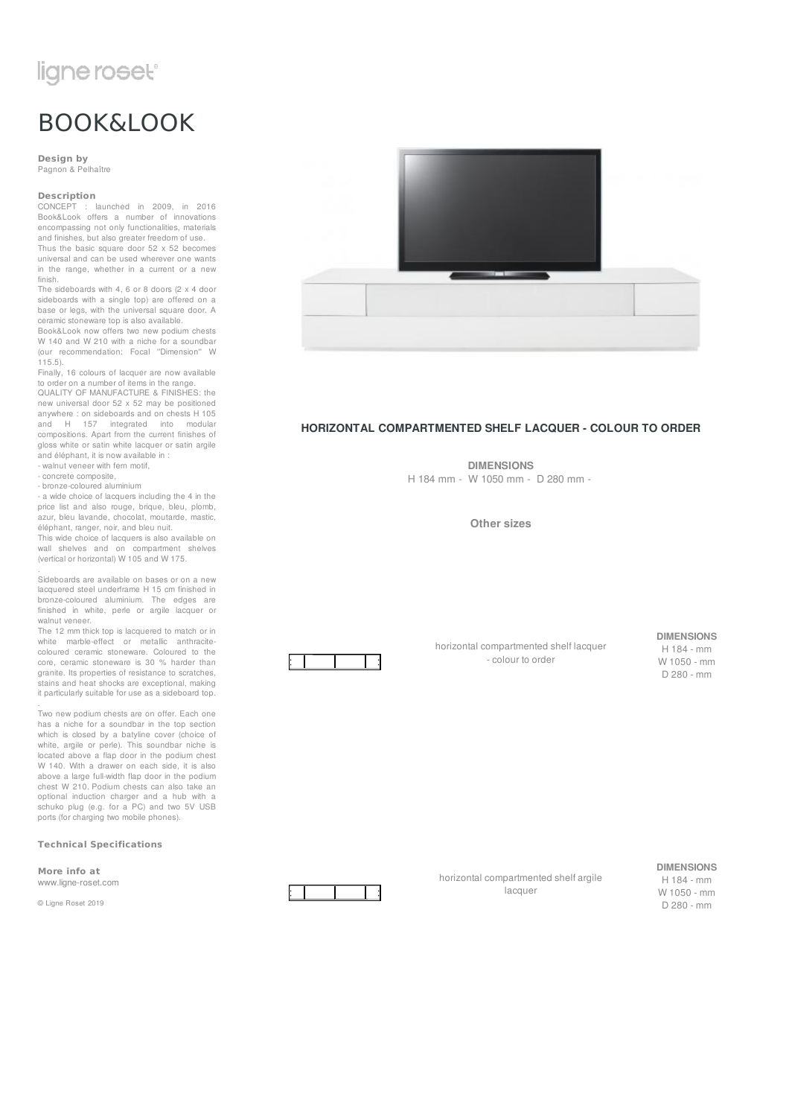# ligne roset<sup>®</sup>

# BOOK&LOOK

**Design by** Pagnon & Pelhaître

### **Description**

CONCEPT : launched in 2009, in 2016 Book&Look offers a number of innovations encompassing not only functionalities, materials and finishes, but also greater freedom of use. Thus the basic square door  $52 \times 52$  becomes

universal and can be used wherever one wants in the range, whether in a current or a new finish. The sideboards with 4, 6 or 8 doors (2 x 4 door

sideboards with a single top) are offered on a base or legs, with the universal square door. A ceramic stoneware top is also available.

Book&Look now offers two new podium chests W 140 and W 210 with a niche for a soundbar (our recommendation: Focal ''Dimension'' W 115.5).

Finally, 16 colours of lacquer are now available to order on a number of items in the range.

QUALITY OF MANUFACTURE & FINISHES: the new universal door 52 x 52 may be positioned anywhere : on sideboards and on chests H 105<br>and H 157 integrated into modular 157 integrated into modular compositions. Apart from the current finishes of gloss white or satin white lacquer or satin argile and éléphant, it is now available in :

- walnut veneer with fern motif, - concrete composite,

- bronze-coloured aluminium

.

.

- a wide choice of lacquers including the 4 in the price list and also rouge, brique, bleu, plomb, azur, bleu lavande, chocolat, moutarde, mastic, éléphant, ranger, noir, and bleu nuit.

This wide choice of lacquers is also available on wall shelves and on compartment shelves (vertical or horizontal) W 105 and W 175.

Sideboards are available on bases or on a new lacquered steel underframe H 15 cm finished in bronze-coloured aluminium. The edges are finished in white, perle or argile lacquer or walnut veneer.

The 12 mm thick top is lacquered to match or in white marble-effect or metallic anthracitecoloured ceramic stoneware. Coloured to the core, ceramic stoneware is 30 % harder than granite. Its properties of resistance to scratches. stains and heat shocks are exceptional, making it particularly suitable for use as a sideboard top.

Two new podium chests are on offer. Each one has a niche for a soundbar in the top section which is closed by a batyline cover (choice of white, argile or perle). This soundbar niche is located above a flap door in the podium chest W 140. With a drawer on each side, it is also above a large full-width flap door in the podium chest W 210. Podium chests can also take an optional induction charger and a hub with a schuko plug (e.g. for a PC) and two 5V USB ports (for charging two mobile phones).

### **Technical Specifications**

**More info at**

www.ligne-roset.com

© Ligne Roset 2019



### **HORIZONTAL COMPARTMENTED SHELF LACQUER - COLOUR TO ORDER**

**DIMENSIONS** H 184 mm - W 1050 mm - D 280 mm -

**Other sizes**



horizontal compartmented shelf lacquer - colour to order

### **DIMENSIONS**

H 184 - mm W 1050 - mm D 280 - mm



horizontal compartmented shelf argile lacquer

**DIMENSIONS** H 184 - mm W 1050 - mm D 280 - mm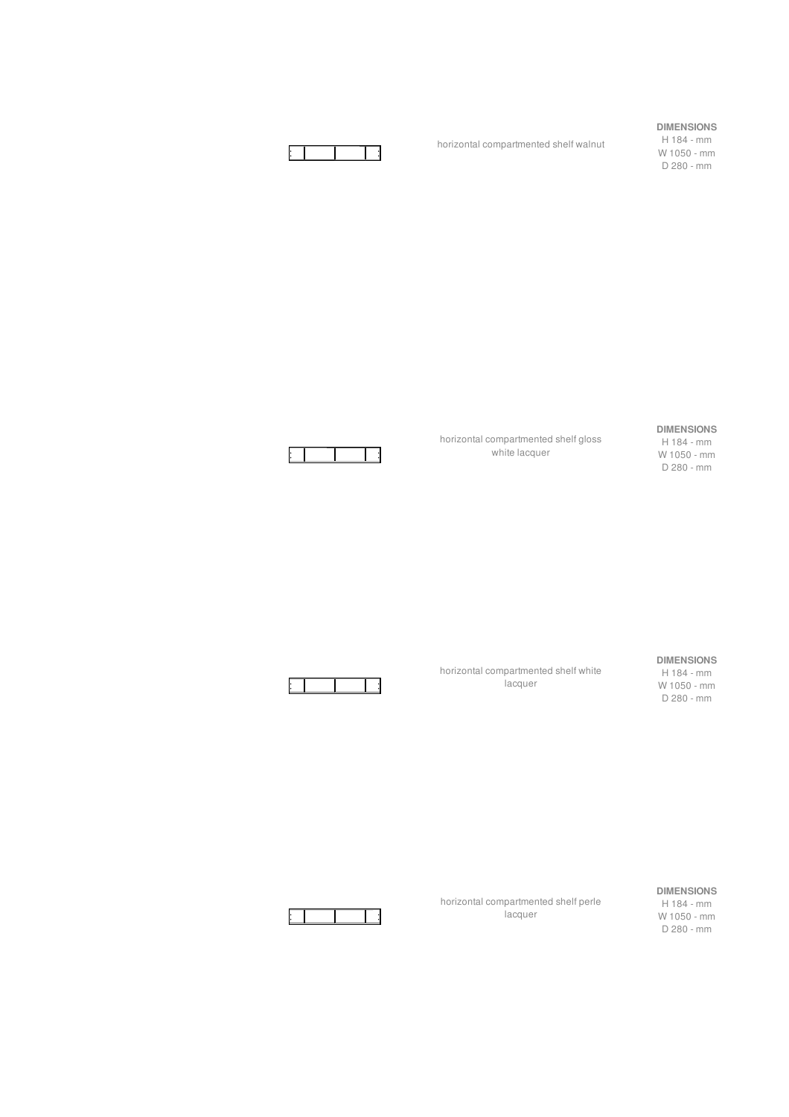# **DIMENSIONS**

H 184 - mm W 1050 - mm D 280 - mm



## **DIMENSIONS**

H 184 - mm W 1050 - mm D 280 - mm



Е

### **DIMENSIONS** H 184 - mm

W 1050 - mm D 280 - mm

horizontal compartmented shelf white .<br>lacquer

horizontal compartmented shelf perle lacquer

horizontal compartmented shelf gloss white lacquer

horizontal compartmented shelf walnut



### **DIMENSIONS**

H 184 - mm W 1050 - mm D 280 - mm

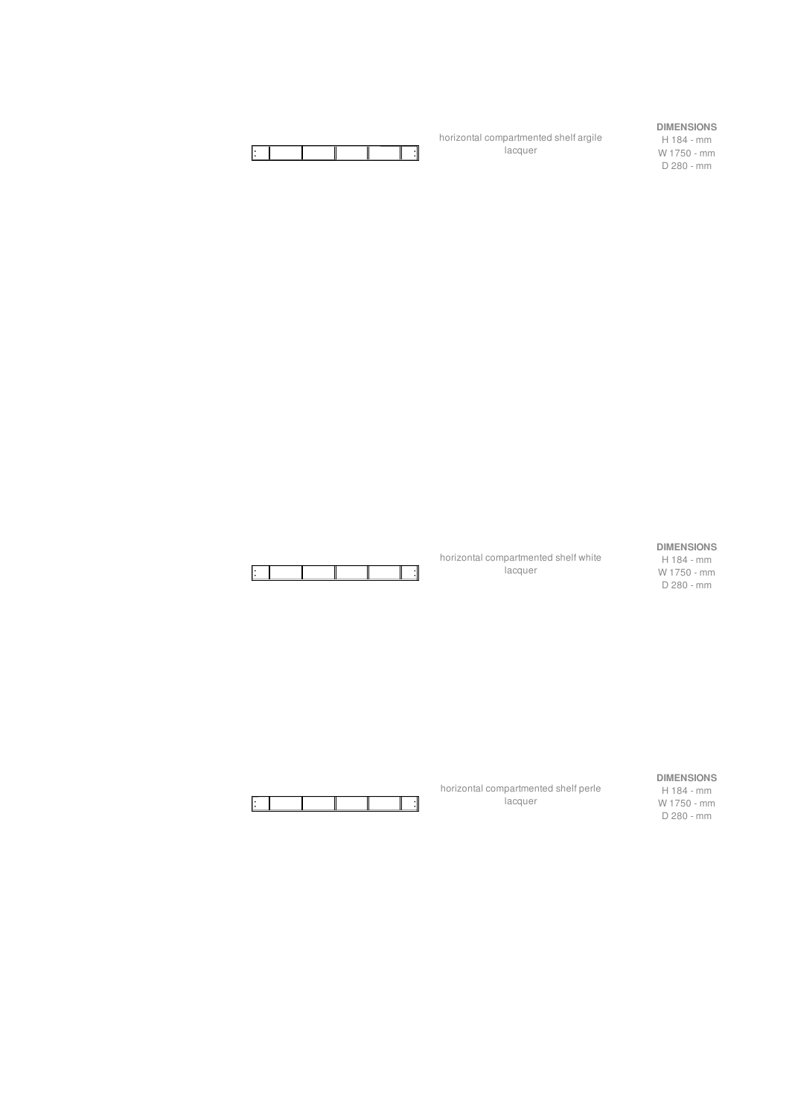

horizontal compartmented shelf argile lacquer

**DIMENSIONS** H 184 - mm

W 1750 - mm D 280 - mm



horizontal compartmented shelf white **lacquer** 

horizontal compartmented shelf perle **lacquer** 

## **DIMENSIONS**

H 184 - mm W 1750 - mm D 280 - mm



**DIMENSIONS**

H 184 - mm W 1750 - mm D 280 - mm

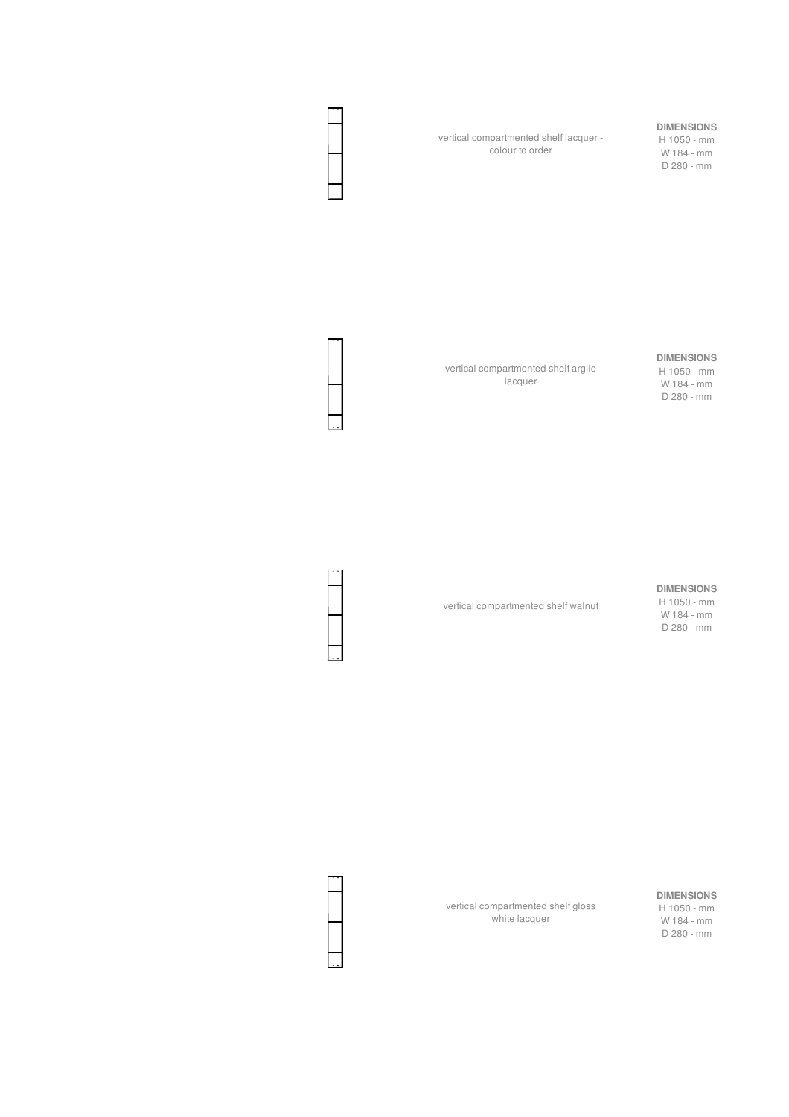vertical compartmented shelf lacquer colour to order

# **DIMENSIONS**

H 1050 - mm W 184 - mm D 280 - mm

vertical compartmented shelf argile lacquer

### **DIMENSIONS**

H 1050 - mm W 184 - mm D 280 - mm

### **DIMENSIONS**

vertical compartmented shelf walnut

H 1050 - mm W 184 - mm D 280 - mm

# **DIMENSIONS**

H 1050 - mm W 184 - mm D 280 - mm

vertical compartmented shelf gloss white lacquer

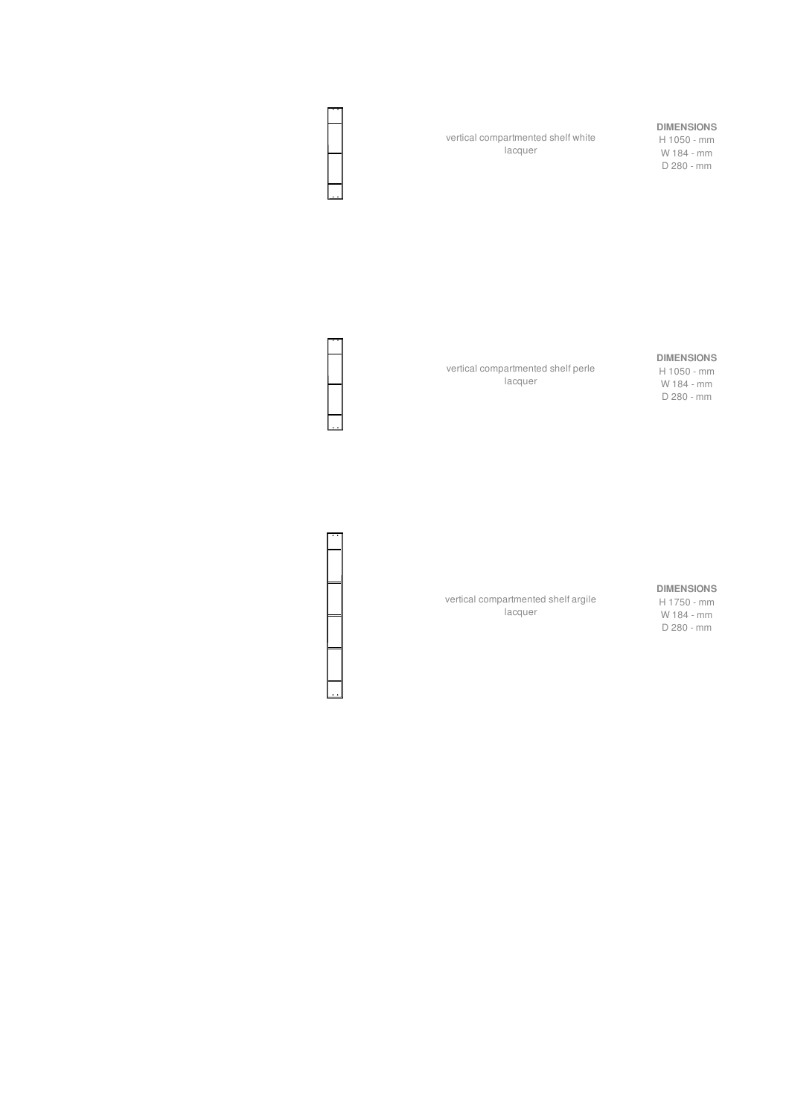vertical compartmented shelf white lacquer

# **DIMENSIONS**

H 1050 - mm W 184 - mm D 280 - mm

vertical compartmented shelf perle lacquer

## **DIMENSIONS**

H 1050 - mm W 184 - mm D 280 - mm

vertical compartmented shelf argile lacquer

**DIMENSIONS** H 1750 - mm W 184 - mm D 280 - mm